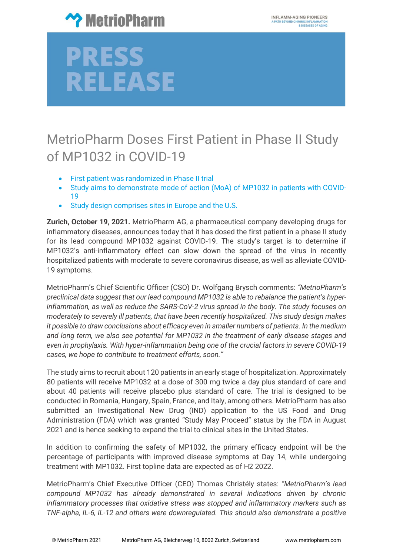

## PRESS **RELEASE**

### MetrioPharm Doses First Patient in Phase II Study of MP1032 in COVID-19

- First patient was randomized in Phase II trial
- Study aims to demonstrate mode of action (MoA) of MP1032 in patients with COVID-19
- Study design comprises sites in Europe and the U.S.

**Zurich, October 19, 2021.** MetrioPharm AG, a pharmaceutical company developing drugs for inflammatory diseases, announces today that it has dosed the first patient in a phase II study for its lead compound MP1032 against COVID-19. The study's target is to determine if MP1032's anti-inflammatory effect can slow down the spread of the virus in recently hospitalized patients with moderate to severe coronavirus disease, as well as alleviate COVID-19 symptoms.

MetrioPharm's Chief Scientific Officer (CSO) Dr. Wolfgang Brysch comments: *"MetrioPharm's preclinical data suggest that our lead compound MP1032 is able to rebalance the patient's hyperinflammation, as well as reduce the SARS-CoV-2 virus spread in the body. The study focuses on moderately to severely ill patients, that have been recently hospitalized. This study design makes it possible to draw conclusions about efficacy even in smaller numbers of patients. In the medium and long term, we also see potential for MP1032 in the treatment of early disease stages and even in prophylaxis. With hyper-inflammation being one of the crucial factors in severe COVID-19 cases, we hope to contribute to treatment efforts, soon."*

The study aims to recruit about 120 patients in an early stage of hospitalization. Approximately 80 patients will receive MP1032 at a dose of 300 mg twice a day plus standard of care and about 40 patients will receive placebo plus standard of care. The trial is designed to be conducted in Romania, Hungary, Spain, France, and Italy, among others. MetrioPharm has also submitted an Investigational New Drug (IND) application to the US Food and Drug Administration (FDA) which was granted "Study May Proceed" status by the FDA in August 2021 and is hence seeking to expand the trial to clinical sites in the United States.

In addition to confirming the safety of MP1032, the primary efficacy endpoint will be the percentage of participants with improved disease symptoms at Day 14, while undergoing treatment with MP1032. First topline data are expected as of H2 2022.

MetrioPharm's Chief Executive Officer (CEO) Thomas Christély states: *"MetrioPharm's lead compound MP1032 has already demonstrated in several indications driven by chronic inflammatory processes that oxidative stress was stopped and inflammatory markers such as TNF-alpha, IL-6, IL-12 and others were downregulated. This should also demonstrate a positive*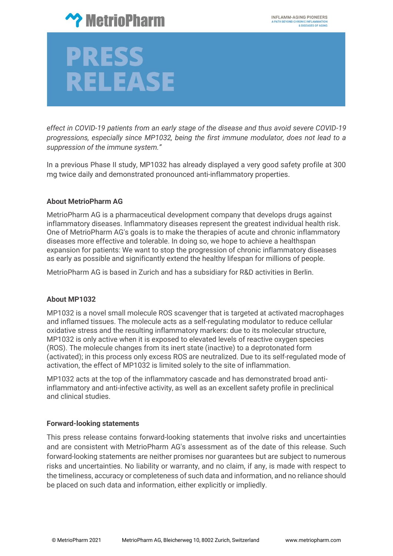

# PRESS **RELEASE**

*effect in COVID-19 patients from an early stage of the disease and thus avoid severe COVID-19 progressions, especially since MP1032, being the first immune modulator, does not lead to a suppression of the immune system."*

In a previous Phase II study, MP1032 has already displayed a very good safety profile at 300 mg twice daily and demonstrated pronounced anti-inflammatory properties.

#### **About MetrioPharm AG**

MetrioPharm AG is a pharmaceutical development company that develops drugs against inflammatory diseases. Inflammatory diseases represent the greatest individual health risk. One of MetrioPharm AG's goals is to make the therapies of acute and chronic inflammatory diseases more effective and tolerable. In doing so, we hope to achieve a healthspan expansion for patients: We want to stop the progression of chronic inflammatory diseases as early as possible and significantly extend the healthy lifespan for millions of people.

MetrioPharm AG is based in Zurich and has a subsidiary for R&D activities in Berlin.

#### **About MP1032**

MP1032 is a novel small molecule ROS scavenger that is targeted at activated macrophages and inflamed tissues. The molecule acts as a self-regulating modulator to reduce cellular oxidative stress and the resulting inflammatory markers: due to its molecular structure, MP1032 is only active when it is exposed to elevated levels of reactive oxygen species (ROS). The molecule changes from its inert state (inactive) to a deprotonated form (activated); in this process only excess ROS are neutralized. Due to its self-regulated mode of activation, the effect of MP1032 is limited solely to the site of inflammation.

MP1032 acts at the top of the inflammatory cascade and has demonstrated broad antiinflammatory and anti-infective activity, as well as an excellent safety profile in preclinical and clinical studies.

#### **Forward-looking statements**

This press release contains forward-looking statements that involve risks and uncertainties and are consistent with MetrioPharm AG's assessment as of the date of this release. Such forward-looking statements are neither promises nor guarantees but are subject to numerous risks and uncertainties. No liability or warranty, and no claim, if any, is made with respect to the timeliness, accuracy or completeness of such data and information, and no reliance should be placed on such data and information, either explicitly or impliedly.